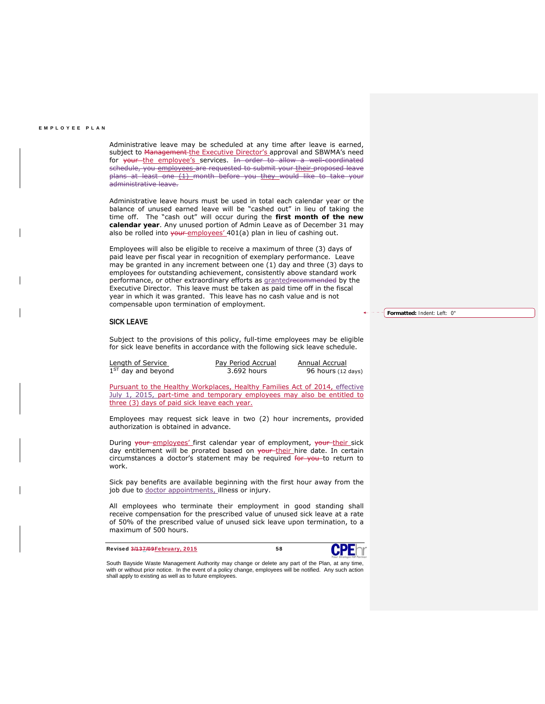Administrative leave may be scheduled at any time after leave is earned, subject to Management the Executive Director's approval and SBWMA's need for your the employee's services. In order to allow a well-coordinated schedule, you employees are requested to submit your their proposed leave plans at least one (1) month before you they would like to take your administrative leave.

Administrative leave hours must be used in total each calendar year or the balance of unused earned leave will be "cashed out" in lieu of taking the time off. The "cash out" will occur during the **first month of the new calendar year**. Any unused portion of Admin Leave as of December 31 may also be rolled into your employees' 401(a) plan in lieu of cashing out.

Employees will also be eligible to receive a maximum of three (3) days of paid leave per fiscal year in recognition of exemplary performance. Leave may be granted in any increment between one (1) day and three (3) days to employees for outstanding achievement, consistently above standard work performance, or other extraordinary efforts as **grantedrecommended** by the Executive Director. This leave must be taken as paid time off in the fiscal year in which it was granted. This leave has no cash value and is not compensable upon termination of employment.

## **SICK LEAVE**

Subject to the provisions of this policy, full-time employees may be eligible for sick leave benefits in accordance with the following sick leave schedule.

| Length of Service    | Pay Period Accrual | Annual Accrual     |
|----------------------|--------------------|--------------------|
| $1ST$ day and beyond | 3.692 hours        | 96 hours (12 days) |

Pursuant to the Healthy Workplaces, Healthy Families Act of 2014, effective July 1, 2015, part-time and temporary employees may also be entitled to three (3) days of paid sick leave each year.

Employees may request sick leave in two (2) hour increments, provided authorization is obtained in advance.

During your employees' first calendar year of employment, your their sick day entitlement will be prorated based on your their hire date. In certain circumstances a doctor's statement may be required for you to return to work.

Sick pay benefits are available beginning with the first hour away from the job due to doctor appointments, illness or injury.

All employees who terminate their employment in good standing shall receive compensation for the prescribed value of unused sick leave at a rate of 50% of the prescribed value of unused sick leave upon termination, to a maximum of 500 hours.

Revised 3/137/09 February, 2015 58



South Bayside Waste Management Authority may change or delete any part of the Plan, at any time, with or without prior notice. In the event of a policy change, employees will be notified. Any such action shall apply to existing as well as to future employees.

**Formatted:** Indent: Left: 0"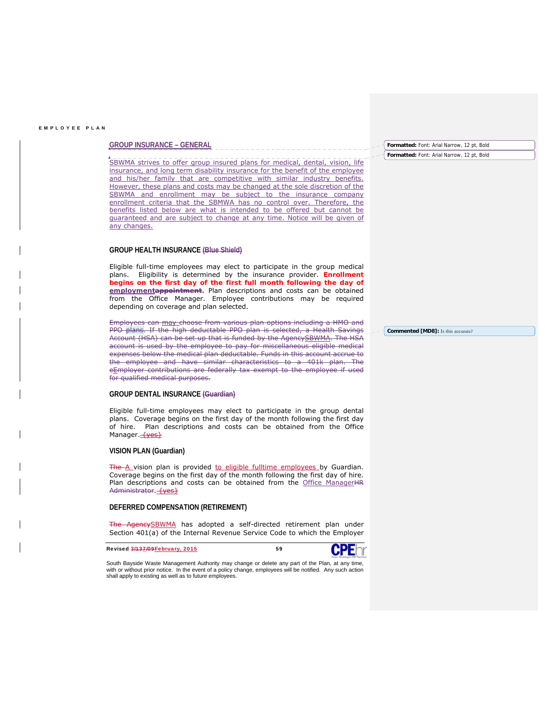## **GROUP INSURANCE – GENERAL**

SBWMA strives to offer group insured plans for medical, dental, vision, life insurance, and long term disability insurance for the benefit of the employee and his/her family that are competitive with similar industry benefits. However, these plans and costs may be changed at the sole discretion of the SBWMA and enrollment may be subject to the insurance company enrollment criteria that the SBMWA has no control over. Therefore, the benefits listed below are what is intended to be offered but cannot be guaranteed and are subject to change at any time. Notice will be given of any changes.

# **GROUP HEALTH INSURANCE (Blue Shield)**

Eligible full-time employees may elect to participate in the group medical plans. Eligibility is determined by the insurance provider. **Enrollment begins on the first day of the first full month following the day of**  employmentappointment. Plan descriptions and costs can be obtained from the Office Manager. Employee contributions may be required depending on coverage and plan selected.

Employees can may choose from various plan options including a HMO and PPO plans. If the high deductable PPO plan is selected, a Health Savings Account (HSA) can be set up that is funded by the AgencySBWMA. The HSA account is used by the employee to pay for miscellaneous eligible medical expenses below the medical plan deductable. Funds in this account accrue to the employee and have similar characteristics to a 401k plan. The eEmployer contributions are federally tax exempt to the employee if used for qualified medical purposes.

## **GROUP DENTAL INSURANCE (Guardian)**

Eligible full-time employees may elect to participate in the group dental plans. Coverage begins on the first day of the month following the first day of hire. Plan descriptions and costs can be obtained from the Office Manager. **{yes}** 

## **VISION PLAN (Guardian)**

The A vision plan is provided to eligible fulltime employees by Guardian. Coverage begins on the first day of the month following the first day of hire. Plan descriptions and costs can be obtained from the Office ManagerHR Administrator. {yes}

## **DEFERRED COMPENSATION (RETIREMENT)**

 $\_$  , and the set of the set of the set of the set of the set of the set of the set of the set of the set of the set of the set of the set of the set of the set of the set of the set of the set of the set of the set of th

ReySBWMA has adopted a self-directed retirement plan under Section 401(a) of the Internal Revenue Service Code to which the Employer

Revised 3/137/09 February, 2015 59



South Bayside Waste Management Authority may change or delete any part of the Plan, at any time, with or without prior notice. In the event of a policy change, employees will be notified. Any such action shall apply to existing as well as to future employees.

**Formatted:** Font: Arial Narrow, 12 pt, Bold **Formatted:** Font: Arial Narrow, 12 pt, Bold

**Commented [MD8]:** Is this accurate?

\_\_\_\_\_\_\_\_\_\_\_\_\_\_\_\_\_\_\_\_\_\_\_\_\_\_\_\_\_\_\_\_\_\_\_\_\_\_\_\_\_\_\_\_\_\_\_\_\_\_\_\_\_\_\_\_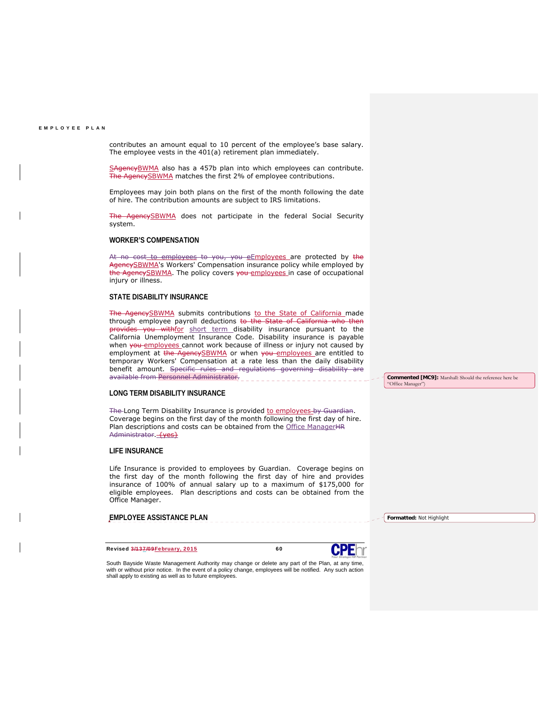contributes an amount equal to 10 percent of the employee's base salary. The employee vests in the 401(a) retirement plan immediately.

SAgencyBWMA also has a 457b plan into which employees can contribute. The AgencySBWMA matches the first 2% of employee contributions.

Employees may join both plans on the first of the month following the date of hire. The contribution amounts are subject to IRS limitations.

AgencySBWMA does not participate in the federal Social Security system.

# **WORKER'S COMPENSATION**

At no cost to employees to you, you eEmployees are protected by the AgencySBWMA's Workers' Compensation insurance policy while employed by the AgencySBWMA. The policy covers you employees in case of occupational injury or illness.

# **STATE DISABILITY INSURANCE**

The AgencySBWMA submits contributions to the State of California made through employee payroll deductions to the State of California who then ovides you withfor short term disability insurance pursuant to the California Unemployment Insurance Code. Disability insurance is payable when you employees cannot work because of illness or injury not caused by employment at the AgencySBWMA or when you employees are entitled to temporary Workers' Compensation at a rate less than the daily disability benefit amount. Specific rules and regulations governing disability are available from Personnel Administrator.

# **LONG TERM DISABILITY INSURANCE**

The Long Term Disability Insurance is provided to employees by Guardian. Coverage begins on the first day of the month following the first day of hire. Plan descriptions and costs can be obtained from the Office ManagerHR Administrator. **{yes}** 

## **LIFE INSURANCE**

Life Insurance is provided to employees by Guardian. Coverage begins on the first day of the month following the first day of hire and provides insurance of 100% of annual salary up to a maximum of \$175,000 for eligible employees. Plan descriptions and costs can be obtained from the Office Manager.

# **EMPLOYEE ASSISTANCE PLAN**

Revised 3/137/09 February, 2015 60



South Bayside Waste Management Authority may change or delete any part of the Plan, at any time, with or without prior notice. In the event of a policy change, employees will be notified. Any such action shall apply to existing as well as to future employees.

 $\_$  , and the set of the set of the set of the set of the set of the set of the set of the set of the set of the set of the set of the set of the set of the set of the set of the set of the set of the set of the set of th

**Commented [MC9]:** Marshall: Should the reference here be "Office Manager

\_\_\_\_\_\_\_\_\_\_\_\_\_\_\_\_\_\_\_\_\_\_\_\_\_\_\_\_\_\_\_\_\_\_\_\_\_\_\_\_\_\_\_\_\_\_\_\_\_\_\_\_\_\_\_\_

**Formatted:** Not Highlight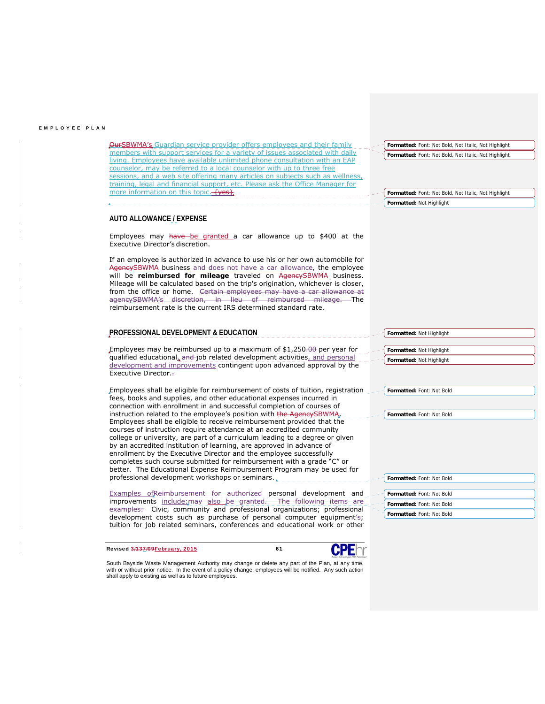| <b>OurSBWMA's</b> Guardian service provider offers employees and their family                                                                                                                                                                                                                                                                                                                                                                          | Formatted: Font: Not Bold, Not Italic, Not Highlight |
|--------------------------------------------------------------------------------------------------------------------------------------------------------------------------------------------------------------------------------------------------------------------------------------------------------------------------------------------------------------------------------------------------------------------------------------------------------|------------------------------------------------------|
| members with support services for a variety of issues associated with daily<br>living. Employees have available unlimited phone consultation with an EAP<br>counselor, may be referred to a local counselor with up to three free<br>sessions, and a web site offering many articles on subjects such as wellness,<br>training, legal and financial support, etc. Please ask the Office Manager for                                                    | Formatted: Font: Not Bold, Not Italic, Not Highlight |
| more information on this topic. Tyes?                                                                                                                                                                                                                                                                                                                                                                                                                  | Formatted: Font: Not Bold, Not Italic, Not Highlight |
|                                                                                                                                                                                                                                                                                                                                                                                                                                                        | Formatted: Not Highlight                             |
| <b>AUTO ALLOWANCE / EXPENSE</b>                                                                                                                                                                                                                                                                                                                                                                                                                        |                                                      |
| Employees may have be granted a car allowance up to \$400 at the<br>Executive Director's discretion.                                                                                                                                                                                                                                                                                                                                                   |                                                      |
| If an employee is authorized in advance to use his or her own automobile for<br>AgencySBWMA business and does not have a car allowance, the employee<br>will be reimbursed for mileage traveled on AgeneySBWMA business.<br>Mileage will be calculated based on the trip's origination, whichever is closer,<br>from the office or home. Certain employees may have a car allowance at<br>agencySBWMA's discretion, in lieu of reimbursed mileage. The |                                                      |
| reimbursement rate is the current IRS determined standard rate.                                                                                                                                                                                                                                                                                                                                                                                        |                                                      |
| PROFESSIONAL DEVELOPMENT & EDUCATION                                                                                                                                                                                                                                                                                                                                                                                                                   | Formatted: Not Highlight                             |
| Employees may be reimbursed up to a maximum of $$1,250,00$ per year for<br>qualified educational, and job related development activities, and personal<br>development and improvements contingent upon advanced approval by the<br>Executive Director.-                                                                                                                                                                                                | Formatted: Not Highlight<br>Formatted: Not Highlight |
| Employees shall be eligible for reimbursement of costs of tuition, registration                                                                                                                                                                                                                                                                                                                                                                        | Formatted: Font: Not Bold                            |
| fees, books and supplies, and other educational expenses incurred in<br>connection with enrollment in and successful completion of courses of                                                                                                                                                                                                                                                                                                          |                                                      |
| instruction related to the employee's position with the AgencySBWMA.                                                                                                                                                                                                                                                                                                                                                                                   | Formatted: Font: Not Bold                            |
| Employees shall be eligible to receive reimbursement provided that the<br>courses of instruction require attendance at an accredited community                                                                                                                                                                                                                                                                                                         |                                                      |
| college or university, are part of a curriculum leading to a degree or given                                                                                                                                                                                                                                                                                                                                                                           |                                                      |
| by an accredited institution of learning, are approved in advance of                                                                                                                                                                                                                                                                                                                                                                                   |                                                      |
| enrollment by the Executive Director and the employee successfully<br>completes such course submitted for reimbursement with a grade "C" or                                                                                                                                                                                                                                                                                                            |                                                      |
| better. The Educational Expense Reimbursement Program may be used for                                                                                                                                                                                                                                                                                                                                                                                  |                                                      |
| professional development workshops or seminars.                                                                                                                                                                                                                                                                                                                                                                                                        | Formatted: Font: Not Bold                            |
|                                                                                                                                                                                                                                                                                                                                                                                                                                                        |                                                      |
| <b>Examples of Reimbursement for authorized personal development and</b><br>improvements include: may also be granted. The following items are                                                                                                                                                                                                                                                                                                         | Formatted: Font: Not Bold                            |
| examples: Civic, community and professional organizations; professional                                                                                                                                                                                                                                                                                                                                                                                | Formatted: Font: Not Bold                            |
| development costs such as purchase of personal computer equipment's;                                                                                                                                                                                                                                                                                                                                                                                   | Formatted: Font: Not Bold                            |
| tuition for job related seminars, conferences and educational work or other                                                                                                                                                                                                                                                                                                                                                                            |                                                      |
|                                                                                                                                                                                                                                                                                                                                                                                                                                                        |                                                      |
| <b>CPF</b><br>Revised 3/137/09February, 2015<br>61                                                                                                                                                                                                                                                                                                                                                                                                     |                                                      |

South Bayside Waste Management Authority may change or delete any part of the Plan, at any time,<br>with or without prior notice. In the event of a policy change, employees will be notified. Any such action<br>shall apply to exi

 $\_$  , and the set of the set of the set of the set of the set of the set of the set of the set of the set of the set of the set of the set of the set of the set of the set of the set of the set of the set of the set of th

\_\_\_\_\_\_\_\_\_\_\_\_\_\_\_\_\_\_\_\_\_\_\_\_\_\_\_\_\_\_\_\_\_\_\_\_\_\_\_\_\_\_\_\_\_\_\_\_\_\_\_\_\_\_\_\_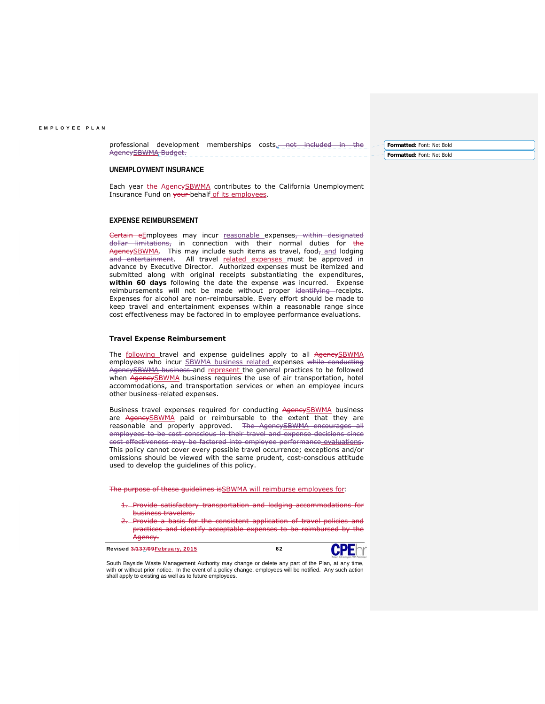professional development memberships costs. not included in the AgencySBWMA Budget.

**Formatted:** Font: Not Bold **Formatted:** Font: Not Bold

## **UNEMPLOYMENT INSURANCE**

Each year the AgencySBWMA contributes to the California Unemployment Insurance Fund on your-behalf of its employees.

## **EXPENSE REIMBURSEMENT**

Certain eEmployees may incur reasonable expenses, within designated dollar limitations, in connection with their normal duties for the AgencySBWMA. This may include such items as travel, food- and lodging and entertainment. All travel related expenses must be approved in advance by Executive Director. Authorized expenses must be itemized and submitted along with original receipts substantiating the expenditures, **within 60 days** following the date the expense was incurred. Expense reimbursements will not be made without proper identifying receipts. Expenses for alcohol are non-reimbursable. Every effort should be made to keep travel and entertainment expenses within a reasonable range since cost effectiveness may be factored in to employee performance evaluations.

## **Travel Expense Reimbursement**

The following travel and expense guidelines apply to all AgencySBWMA employees who incur **SBWMA** business related expenses while conducting AgencySBWMA business-and represent the general practices to be followed when AgencySBWMA business requires the use of air transportation, hotel accommodations, and transportation services or when an employee incurs other business-related expenses.

Business travel expenses required for conducting AgencySBWMA business are AgencySBWMA paid or reimbursable to the extent that they are reasonable and properly approved. The AgencySBWMA encourages all employees to be cost conscious in their travel and expense decisions since cost effectiveness may be factored into employee performance evaluations. This policy cannot cover every possible travel occurrence; exceptions and/or omissions should be viewed with the same prudent, cost-conscious attitude used to develop the guidelines of this policy.

The purpose of these guidelines is SBWMA will reimburse employees for:

- 1. Provide satisfactory transportation and lodging accommodations for business travelers.
- Provide a basis for the consistent application of travel policies and practices and identify acceptable expenses to be reimbursed by the Agency.

Revised 3/137/09 February, 2015



\_\_\_\_\_\_\_\_\_\_\_\_\_\_\_\_\_\_\_\_\_\_\_\_\_\_\_\_\_\_\_\_\_\_\_\_\_\_\_\_\_\_\_\_\_\_\_\_\_\_\_\_\_\_\_\_

South Bayside Waste Management Authority may change or delete any part of the Plan, at any time, with or without prior notice. In the event of a policy change, employees will be notified. Any such action shall apply to existing as well as to future employees.

 $\_$  , and the set of the set of the set of the set of the set of the set of the set of the set of the set of the set of the set of the set of the set of the set of the set of the set of the set of the set of the set of th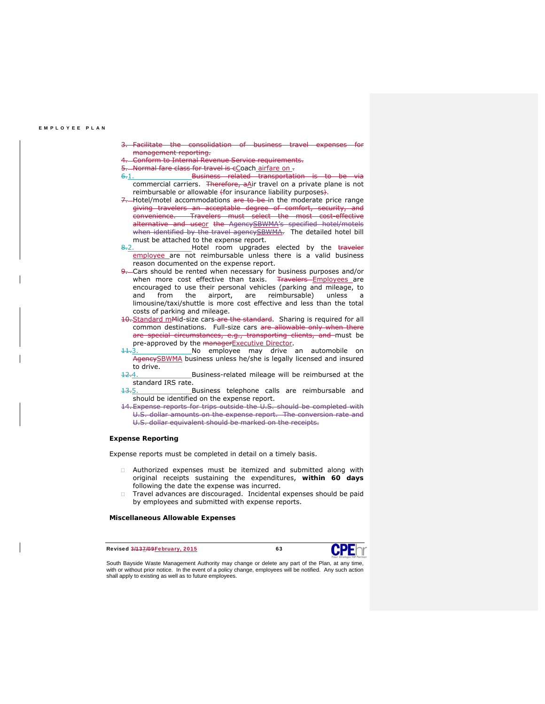- Facilitate the consolidation of business travel expenses management reporting.
- 4. Conform to Internal Revenue Service requirements.
- Normal fare class for travel is cCoach airfare on .
- 6.1. Business related transportation is to be via commercial carriers. Therefore, aAir travel on a private plane is not reimbursable or allowable *(for insurance liability purposes).*
- 7. Hotel/motel accommodations are to be in the moderate price range giving travelers an acceptable degree of comfort, security, and convenience. Travelers must select the most cost-effective alternative and useor the AgencySBWMA's specified hotel/motels when identified by the travel agencySBWMA. The detailed hotel bill must be attached to the expense report.
- 8.2. Hotel room upgrades elected by the traveler employee are not reimbursable unless there is a valid business reason documented on the expense report.
- 9. Cars should be rented when necessary for business purposes and/or when more cost effective than taxis. Travelers-Employees are encouraged to use their personal vehicles (parking and mileage, to and from the airport, are reimbursable) unless a limousine/taxi/shuttle is more cost effective and less than the total costs of parking and mileage.
- 10. Standard mMid-size cars are the standard. Sharing is required for all common destinations. Full-size cars are allowable only when there are special circumstances, e.g., transporting clients, and must be pre-approved by the managerExecutive Director.
- No employee may drive an automobile on AgencySBWMA business unless he/she is legally licensed and insured to drive.
- 12.4. Business-related mileage will be reimbursed at the standard IRS rate.
- 13.5. Business telephone calls are reimbursable and should be identified on the expense report.
- 14. Expense reports for trips outside the U.S. should be completed with U.S. dollar amounts on the expense report. The conversion rate and U.S. dollar equivalent should be marked on the receipts.

## **Expense Reporting**

Expense reports must be completed in detail on a timely basis.

- Authorized expenses must be itemized and submitted along with original receipts sustaining the expenditures, **within 60 days** following the date the expense was incurred.
- Travel advances are discouraged. Incidental expenses should be paid by employees and submitted with expense reports.

## **Miscellaneous Allowable Expenses**

 $\_$  , and the set of the set of the set of the set of the set of the set of the set of the set of the set of the set of the set of the set of the set of the set of the set of the set of the set of the set of the set of th

Revised 3/137/09 February, 2015 63



\_\_\_\_\_\_\_\_\_\_\_\_\_\_\_\_\_\_\_\_\_\_\_\_\_\_\_\_\_\_\_\_\_\_\_\_\_\_\_\_\_\_\_\_\_\_\_\_\_\_\_\_\_\_\_\_

South Bayside Waste Management Authority may change or delete any part of the Plan, at any time, with or without prior notice. In the event of a policy change, employees will be notified. Any such action shall apply to existing as well as to future employees.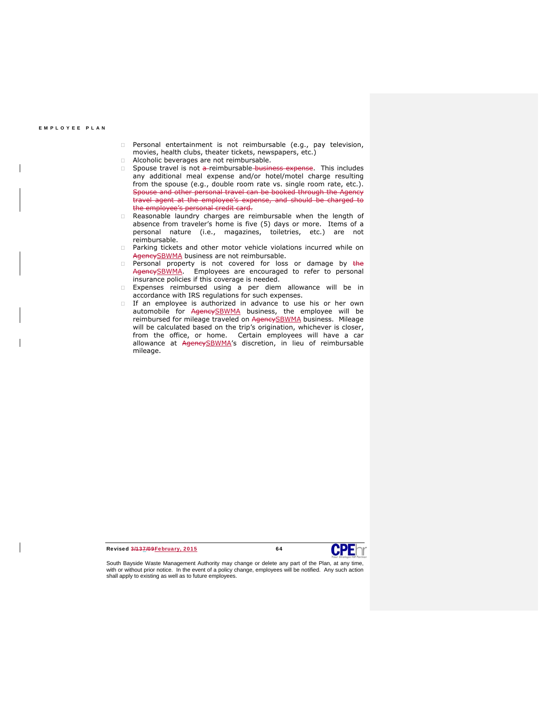- **Personal entertainment is not reimbursable (e.g., pay television,** movies, health clubs, theater tickets, newspapers, etc.)
- $\Box$  Alcoholic beverages are not reimbursable.
- Spouse travel is not a-reimbursable business expense. This includes any additional meal expense and/or hotel/motel charge resulting from the spouse (e.g., double room rate vs. single room rate, etc.). Spouse and other personal travel can be booked through the Agency travel agent at the employee's expense, and should be charged to the employee's personal credit card.
- Reasonable laundry charges are reimbursable when the length of absence from traveler's home is five (5) days or more. Items of a personal nature (i.e., magazines, toiletries, etc.) are not reimbursable.
- Parking tickets and other motor vehicle violations incurred while on AgencySBWMA business are not reimbursable.
- **Personal property is not covered for loss or damage by the** AgencySBWMA. Employees are encouraged to refer to personal insurance policies if this coverage is needed.
- Expenses reimbursed using a per diem allowance will be in accordance with IRS regulations for such expenses.
- If an employee is authorized in advance to use his or her own automobile for AgencySBWMA business, the employee will be reimbursed for mileage traveled on AgencySBWMA business. Mileage will be calculated based on the trip's origination, whichever is closer, from the office, or home. Certain employees will have a car allowance at AgencySBWMA's discretion, in lieu of reimbursable mileage.

Revised 3/137/09 February, 2015 64

South Bayside Waste Management Authority may change or delete any part of the Plan, at any time, with or without prior notice. In the event of a policy change, employees will be notified. Any such action shall apply to existing as well as to future employees.

 $\_$  , and the set of the set of the set of the set of the set of the set of the set of the set of the set of the set of the set of the set of the set of the set of the set of the set of the set of the set of the set of th

\_\_\_\_\_\_\_\_\_\_\_\_\_\_\_\_\_\_\_\_\_\_\_\_\_\_\_\_\_\_\_\_\_\_\_\_\_\_\_\_\_\_\_\_\_\_\_\_\_\_\_\_\_\_\_\_